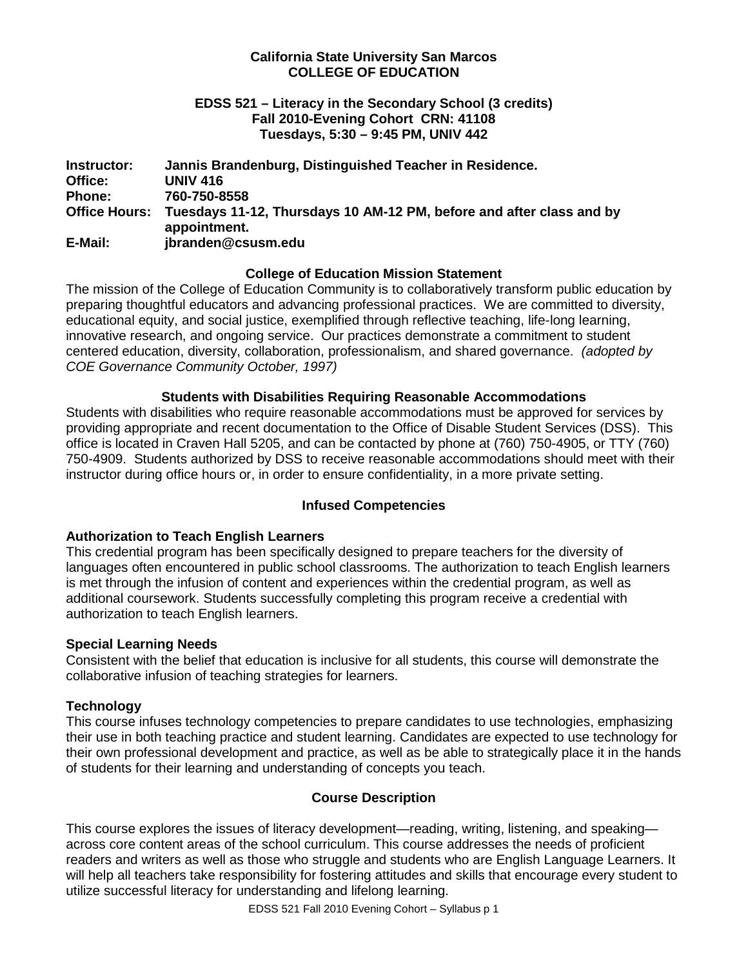## **California State University San Marcos COLLEGE OF EDUCATION**

## **EDSS 521 – Literacy in the Secondary School (3 credits) Fall 2010-Evening Cohort CRN: 41108 Tuesdays, 5:30 – 9:45 PM, UNIV 442**

| Instructor:          | Jannis Brandenburg, Distinguished Teacher in Residence.                              |
|----------------------|--------------------------------------------------------------------------------------|
| Office:              | <b>UNIV 416</b>                                                                      |
| <b>Phone:</b>        | 760-750-8558                                                                         |
| <b>Office Hours:</b> | Tuesdays 11-12, Thursdays 10 AM-12 PM, before and after class and by<br>appointment. |
| E-Mail:              | jbranden@csusm.edu                                                                   |

## **College of Education Mission Statement**

The mission of the College of Education Community is to collaboratively transform public education by preparing thoughtful educators and advancing professional practices. We are committed to diversity, educational equity, and social justice, exemplified through reflective teaching, life-long learning, innovative research, and ongoing service. Our practices demonstrate a commitment to student centered education, diversity, collaboration, professionalism, and shared governance. *(adopted by COE Governance Community October, 1997)*

## **Students with Disabilities Requiring Reasonable Accommodations**

Students with disabilities who require reasonable accommodations must be approved for services by providing appropriate and recent documentation to the Office of Disable Student Services (DSS). This office is located in Craven Hall 5205, and can be contacted by phone at (760) 750-4905, or TTY (760) 750-4909. Students authorized by DSS to receive reasonable accommodations should meet with their instructor during office hours or, in order to ensure confidentiality, in a more private setting.

# **Infused Competencies**

# **Authorization to Teach English Learners**

This credential program has been specifically designed to prepare teachers for the diversity of languages often encountered in public school classrooms. The authorization to teach English learners is met through the infusion of content and experiences within the credential program, as well as additional coursework. Students successfully completing this program receive a credential with authorization to teach English learners.

#### **Special Learning Needs**

Consistent with the belief that education is inclusive for all students, this course will demonstrate the collaborative infusion of teaching strategies for learners.

# **Technology**

This course infuses technology competencies to prepare candidates to use technologies, emphasizing their use in both teaching practice and student learning. Candidates are expected to use technology for their own professional development and practice, as well as be able to strategically place it in the hands of students for their learning and understanding of concepts you teach.

# **Course Description**

This course explores the issues of literacy development—reading, writing, listening, and speaking across core content areas of the school curriculum. This course addresses the needs of proficient readers and writers as well as those who struggle and students who are English Language Learners. It will help all teachers take responsibility for fostering attitudes and skills that encourage every student to utilize successful literacy for understanding and lifelong learning.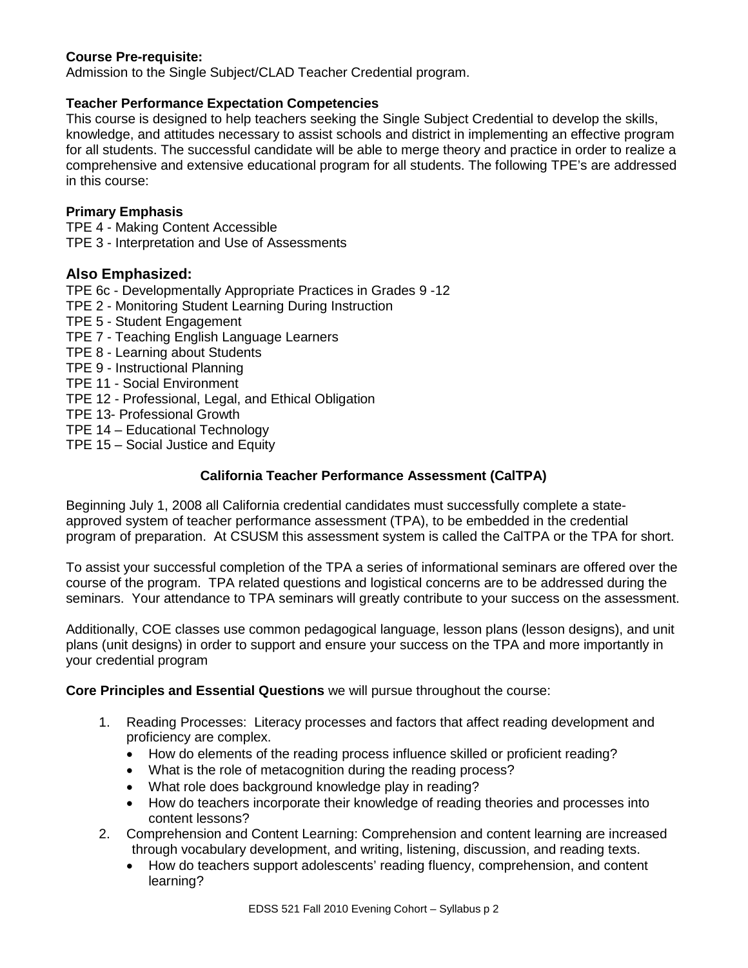# **Course Pre-requisite:**

Admission to the Single Subject/CLAD Teacher Credential program.

# **Teacher Performance Expectation Competencies**

This course is designed to help teachers seeking the Single Subject Credential to develop the skills, knowledge, and attitudes necessary to assist schools and district in implementing an effective program for all students. The successful candidate will be able to merge theory and practice in order to realize a comprehensive and extensive educational program for all students. The following TPE's are addressed in this course:

# **Primary Emphasis**

TPE 4 - Making Content Accessible TPE 3 - Interpretation and Use of Assessments

# **Also Emphasized:**

TPE 6c - Developmentally Appropriate Practices in Grades 9 -12

- TPE 2 Monitoring Student Learning During Instruction
- TPE 5 Student Engagement
- TPE 7 Teaching English Language Learners
- TPE 8 Learning about Students
- TPE 9 Instructional Planning
- TPE 11 Social Environment
- TPE 12 Professional, Legal, and Ethical Obligation
- TPE 13- Professional Growth
- TPE 14 Educational Technology
- TPE 15 Social Justice and Equity

# **California Teacher Performance Assessment (CalTPA)**

Beginning July 1, 2008 all California credential candidates must successfully complete a stateapproved system of teacher performance assessment (TPA), to be embedded in the credential program of preparation. At CSUSM this assessment system is called the CalTPA or the TPA for short.

To assist your successful completion of the TPA a series of informational seminars are offered over the course of the program. TPA related questions and logistical concerns are to be addressed during the seminars. Your attendance to TPA seminars will greatly contribute to your success on the assessment.

Additionally, COE classes use common pedagogical language, lesson plans (lesson designs), and unit plans (unit designs) in order to support and ensure your success on the TPA and more importantly in your credential program

**Core Principles and Essential Questions** we will pursue throughout the course:

- 1. Reading Processes: Literacy processes and factors that affect reading development and proficiency are complex.
	- How do elements of the reading process influence skilled or proficient reading?
	- What is the role of metacognition during the reading process?
	- What role does background knowledge play in reading?
	- How do teachers incorporate their knowledge of reading theories and processes into content lessons?
- 2. Comprehension and Content Learning: Comprehension and content learning are increased through vocabulary development, and writing, listening, discussion, and reading texts.
	- How do teachers support adolescents' reading fluency, comprehension, and content learning?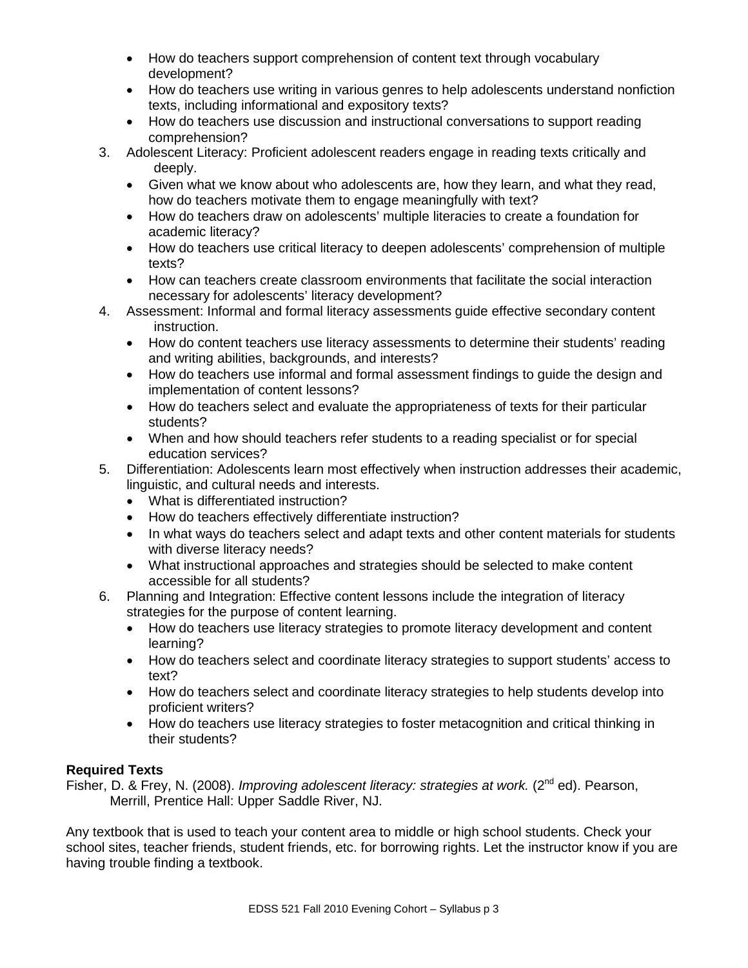- How do teachers support comprehension of content text through vocabulary development?
- How do teachers use writing in various genres to help adolescents understand nonfiction texts, including informational and expository texts?
- How do teachers use discussion and instructional conversations to support reading comprehension?
- 3. Adolescent Literacy: Proficient adolescent readers engage in reading texts critically and deeply.
	- Given what we know about who adolescents are, how they learn, and what they read, how do teachers motivate them to engage meaningfully with text?
	- How do teachers draw on adolescents' multiple literacies to create a foundation for academic literacy?
	- How do teachers use critical literacy to deepen adolescents' comprehension of multiple texts?
	- How can teachers create classroom environments that facilitate the social interaction necessary for adolescents' literacy development?
- 4. Assessment: Informal and formal literacy assessments guide effective secondary content instruction.
	- How do content teachers use literacy assessments to determine their students' reading and writing abilities, backgrounds, and interests?
	- How do teachers use informal and formal assessment findings to guide the design and implementation of content lessons?
	- How do teachers select and evaluate the appropriateness of texts for their particular students?
	- When and how should teachers refer students to a reading specialist or for special education services?
- 5. Differentiation: Adolescents learn most effectively when instruction addresses their academic, linguistic, and cultural needs and interests.
	- What is differentiated instruction?
	- How do teachers effectively differentiate instruction?
	- In what ways do teachers select and adapt texts and other content materials for students with diverse literacy needs?
	- What instructional approaches and strategies should be selected to make content accessible for all students?
- 6. Planning and Integration: Effective content lessons include the integration of literacy strategies for the purpose of content learning.
	- How do teachers use literacy strategies to promote literacy development and content learning?
	- How do teachers select and coordinate literacy strategies to support students' access to text?
	- How do teachers select and coordinate literacy strategies to help students develop into proficient writers?
	- How do teachers use literacy strategies to foster metacognition and critical thinking in their students?

# **Required Texts**

Fisher, D. & Frey, N. (2008). *Improving adolescent literacy: strategies at work.* (2<sup>nd</sup> ed). Pearson, Merrill, Prentice Hall: Upper Saddle River, NJ.

Any textbook that is used to teach your content area to middle or high school students. Check your school sites, teacher friends, student friends, etc. for borrowing rights. Let the instructor know if you are having trouble finding a textbook.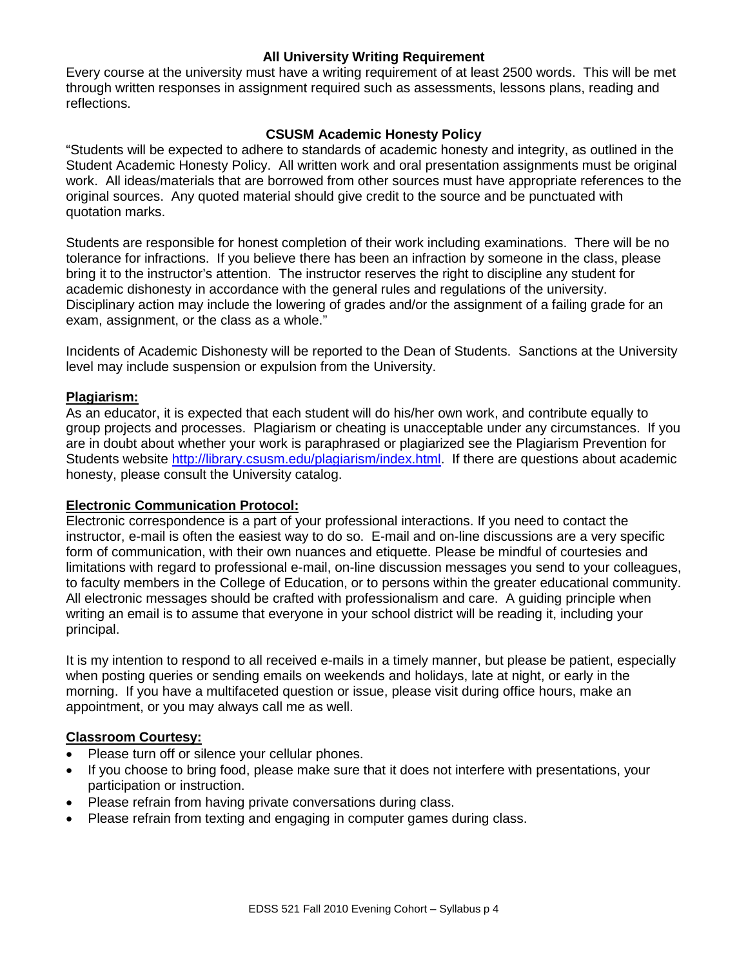## **All University Writing Requirement**

Every course at the university must have a writing requirement of at least 2500 words. This will be met through written responses in assignment required such as assessments, lessons plans, reading and reflections.

# **CSUSM Academic Honesty Policy**

"Students will be expected to adhere to standards of academic honesty and integrity, as outlined in the Student Academic Honesty Policy. All written work and oral presentation assignments must be original work. All ideas/materials that are borrowed from other sources must have appropriate references to the original sources. Any quoted material should give credit to the source and be punctuated with quotation marks.

Students are responsible for honest completion of their work including examinations. There will be no tolerance for infractions. If you believe there has been an infraction by someone in the class, please bring it to the instructor's attention. The instructor reserves the right to discipline any student for academic dishonesty in accordance with the general rules and regulations of the university. Disciplinary action may include the lowering of grades and/or the assignment of a failing grade for an exam, assignment, or the class as a whole."

Incidents of Academic Dishonesty will be reported to the Dean of Students. Sanctions at the University level may include suspension or expulsion from the University.

#### **Plagiarism:**

As an educator, it is expected that each student will do his/her own work, and contribute equally to group projects and processes. Plagiarism or cheating is unacceptable under any circumstances. If you are in doubt about whether your work is paraphrased or plagiarized see the Plagiarism Prevention for Students website [http://library.csusm.edu/plagiarism/index.html.](http://library.csusm.edu/plagiarism/index.html) If there are questions about academic honesty, please consult the University catalog.

#### **Electronic Communication Protocol:**

Electronic correspondence is a part of your professional interactions. If you need to contact the instructor, e-mail is often the easiest way to do so. E-mail and on-line discussions are a very specific form of communication, with their own nuances and etiquette. Please be mindful of courtesies and limitations with regard to professional e-mail, on-line discussion messages you send to your colleagues, to faculty members in the College of Education, or to persons within the greater educational community. All electronic messages should be crafted with professionalism and care. A guiding principle when writing an email is to assume that everyone in your school district will be reading it, including your principal.

It is my intention to respond to all received e-mails in a timely manner, but please be patient, especially when posting queries or sending emails on weekends and holidays, late at night, or early in the morning. If you have a multifaceted question or issue, please visit during office hours, make an appointment, or you may always call me as well.

#### **Classroom Courtesy:**

- Please turn off or silence your cellular phones.
- If you choose to bring food, please make sure that it does not interfere with presentations, your participation or instruction.
- Please refrain from having private conversations during class.
- Please refrain from texting and engaging in computer games during class.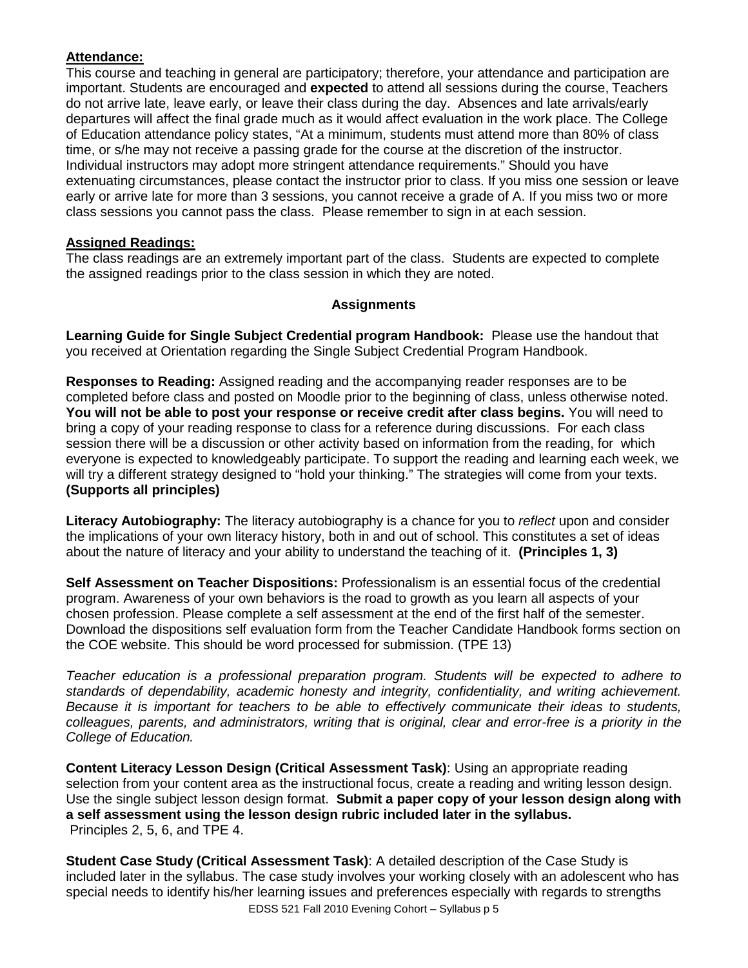# **Attendance:**

This course and teaching in general are participatory; therefore, your attendance and participation are important. Students are encouraged and **expected** to attend all sessions during the course, Teachers do not arrive late, leave early, or leave their class during the day. Absences and late arrivals/early departures will affect the final grade much as it would affect evaluation in the work place. The College of Education attendance policy states, "At a minimum, students must attend more than 80% of class time, or s/he may not receive a passing grade for the course at the discretion of the instructor. Individual instructors may adopt more stringent attendance requirements." Should you have extenuating circumstances, please contact the instructor prior to class. If you miss one session or leave early or arrive late for more than 3 sessions, you cannot receive a grade of A. If you miss two or more class sessions you cannot pass the class. Please remember to sign in at each session.

# **Assigned Readings:**

The class readings are an extremely important part of the class. Students are expected to complete the assigned readings prior to the class session in which they are noted.

## **Assignments**

**Learning Guide for Single Subject Credential program Handbook:** Please use the handout that you received at Orientation regarding the Single Subject Credential Program Handbook.

**Responses to Reading:** Assigned reading and the accompanying reader responses are to be completed before class and posted on Moodle prior to the beginning of class, unless otherwise noted. **You will not be able to post your response or receive credit after class begins.** You will need to bring a copy of your reading response to class for a reference during discussions. For each class session there will be a discussion or other activity based on information from the reading, for which everyone is expected to knowledgeably participate. To support the reading and learning each week, we will try a different strategy designed to "hold your thinking." The strategies will come from your texts. **(Supports all principles)**

**Literacy Autobiography:** The literacy autobiography is a chance for you to *reflect* upon and consider the implications of your own literacy history, both in and out of school. This constitutes a set of ideas about the nature of literacy and your ability to understand the teaching of it. **(Principles 1, 3)**

**Self Assessment on Teacher Dispositions:** Professionalism is an essential focus of the credential program. Awareness of your own behaviors is the road to growth as you learn all aspects of your chosen profession. Please complete a self assessment at the end of the first half of the semester. Download the dispositions self evaluation form from the Teacher Candidate Handbook forms section on the COE website. This should be word processed for submission. (TPE 13)

*Teacher education is a professional preparation program. Students will be expected to adhere to standards of dependability, academic honesty and integrity, confidentiality, and writing achievement. Because it is important for teachers to be able to effectively communicate their ideas to students, colleagues, parents, and administrators, writing that is original, clear and error-free is a priority in the College of Education.* 

**Content Literacy Lesson Design (Critical Assessment Task)**: Using an appropriate reading selection from your content area as the instructional focus, create a reading and writing lesson design. Use the single subject lesson design format. **Submit a paper copy of your lesson design along with a self assessment using the lesson design rubric included later in the syllabus.** Principles 2, 5, 6, and TPE 4.

**Student Case Study (Critical Assessment Task)**: A detailed description of the Case Study is included later in the syllabus. The case study involves your working closely with an adolescent who has special needs to identify his/her learning issues and preferences especially with regards to strengths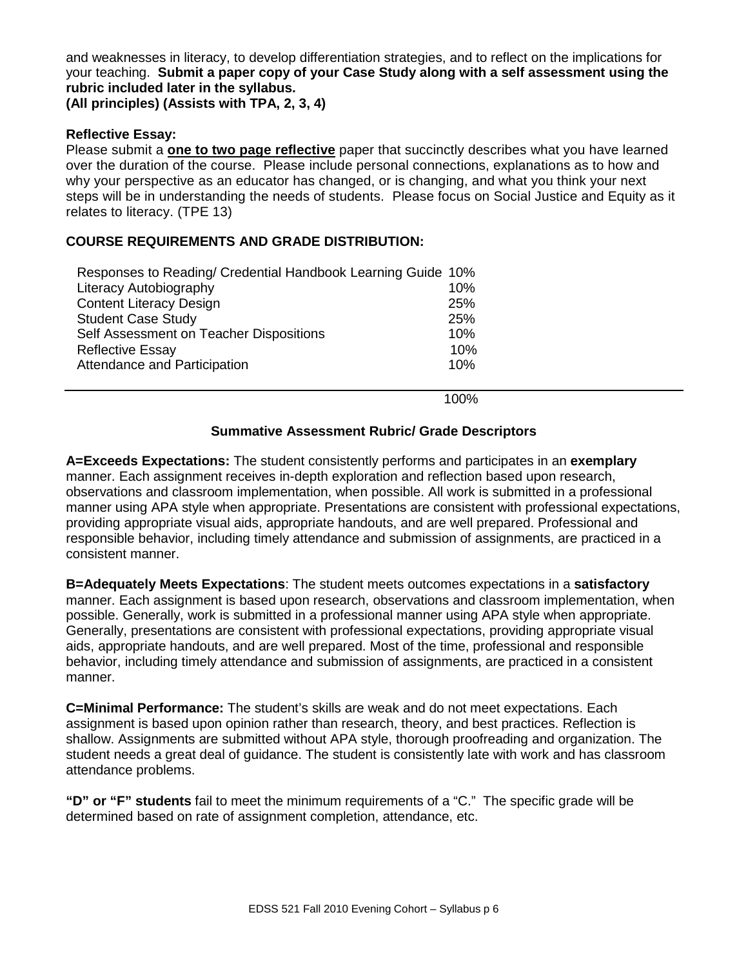and weaknesses in literacy, to develop differentiation strategies, and to reflect on the implications for your teaching. **Submit a paper copy of your Case Study along with a self assessment using the rubric included later in the syllabus.**

**(All principles) (Assists with TPA, 2, 3, 4)**

## **Reflective Essay:**

Please submit a **one to two page reflective** paper that succinctly describes what you have learned over the duration of the course. Please include personal connections, explanations as to how and why your perspective as an educator has changed, or is changing, and what you think your next steps will be in understanding the needs of students. Please focus on Social Justice and Equity as it relates to literacy. (TPE 13)

## **COURSE REQUIREMENTS AND GRADE DISTRIBUTION:**

| Responses to Reading/ Credential Handbook Learning Guide 10% |     |  |
|--------------------------------------------------------------|-----|--|
| Literacy Autobiography                                       | 10% |  |
| <b>Content Literacy Design</b>                               | 25% |  |
| <b>Student Case Study</b>                                    | 25% |  |
| Self Assessment on Teacher Dispositions                      | 10% |  |
| <b>Reflective Essay</b>                                      | 10% |  |
| Attendance and Participation                                 | 10% |  |

100%

#### **Summative Assessment Rubric/ Grade Descriptors**

**A=Exceeds Expectations:** The student consistently performs and participates in an **exemplary** manner. Each assignment receives in-depth exploration and reflection based upon research, observations and classroom implementation, when possible. All work is submitted in a professional manner using APA style when appropriate. Presentations are consistent with professional expectations, providing appropriate visual aids, appropriate handouts, and are well prepared. Professional and responsible behavior, including timely attendance and submission of assignments, are practiced in a consistent manner.

**B=Adequately Meets Expectations**: The student meets outcomes expectations in a **satisfactory** manner. Each assignment is based upon research, observations and classroom implementation, when possible. Generally, work is submitted in a professional manner using APA style when appropriate. Generally, presentations are consistent with professional expectations, providing appropriate visual aids, appropriate handouts, and are well prepared. Most of the time, professional and responsible behavior, including timely attendance and submission of assignments, are practiced in a consistent manner.

**C=Minimal Performance:** The student's skills are weak and do not meet expectations. Each assignment is based upon opinion rather than research, theory, and best practices. Reflection is shallow. Assignments are submitted without APA style, thorough proofreading and organization. The student needs a great deal of guidance. The student is consistently late with work and has classroom attendance problems.

**"D" or "F" students** fail to meet the minimum requirements of a "C." The specific grade will be determined based on rate of assignment completion, attendance, etc.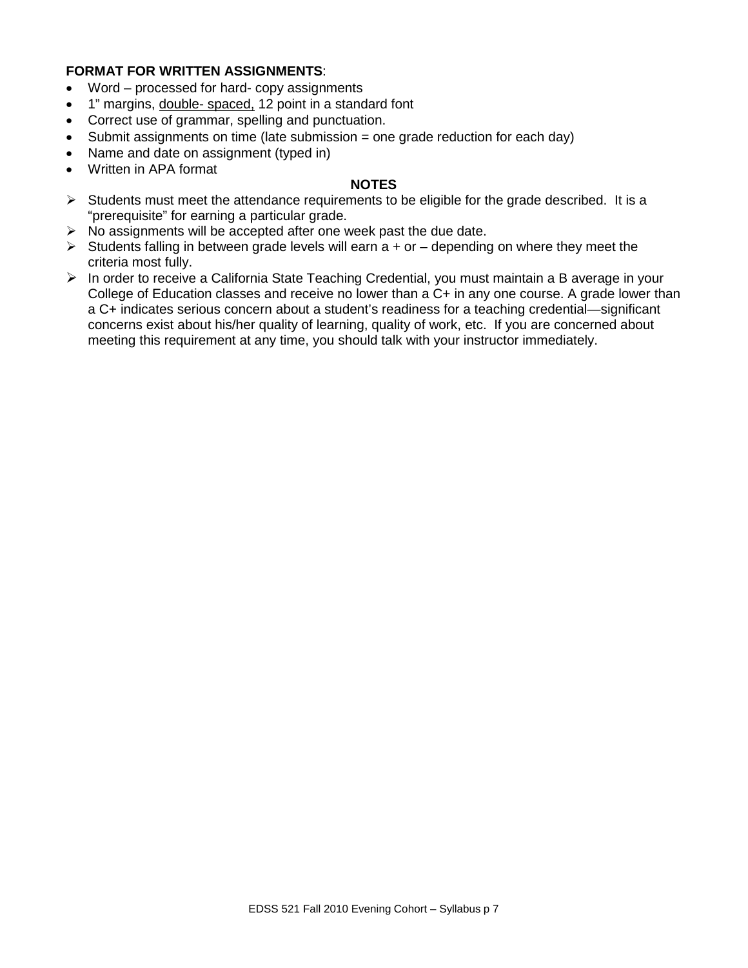## **FORMAT FOR WRITTEN ASSIGNMENTS**:

- Word processed for hard- copy assignments
- 1" margins, double- spaced, 12 point in a standard font
- Correct use of grammar, spelling and punctuation.
- Submit assignments on time (late submission = one grade reduction for each day)
- Name and date on assignment (typed in)
- Written in APA format

#### **NOTES**

- $\triangleright$  Students must meet the attendance requirements to be eligible for the grade described. It is a "prerequisite" for earning a particular grade.
- $\triangleright$  No assignments will be accepted after one week past the due date.
- $\triangleright$  Students falling in between grade levels will earn a + or depending on where they meet the criteria most fully.
- $\triangleright$  In order to receive a California State Teaching Credential, you must maintain a B average in your College of Education classes and receive no lower than a C+ in any one course. A grade lower than a C+ indicates serious concern about a student's readiness for a teaching credential—significant concerns exist about his/her quality of learning, quality of work, etc. If you are concerned about meeting this requirement at any time, you should talk with your instructor immediately.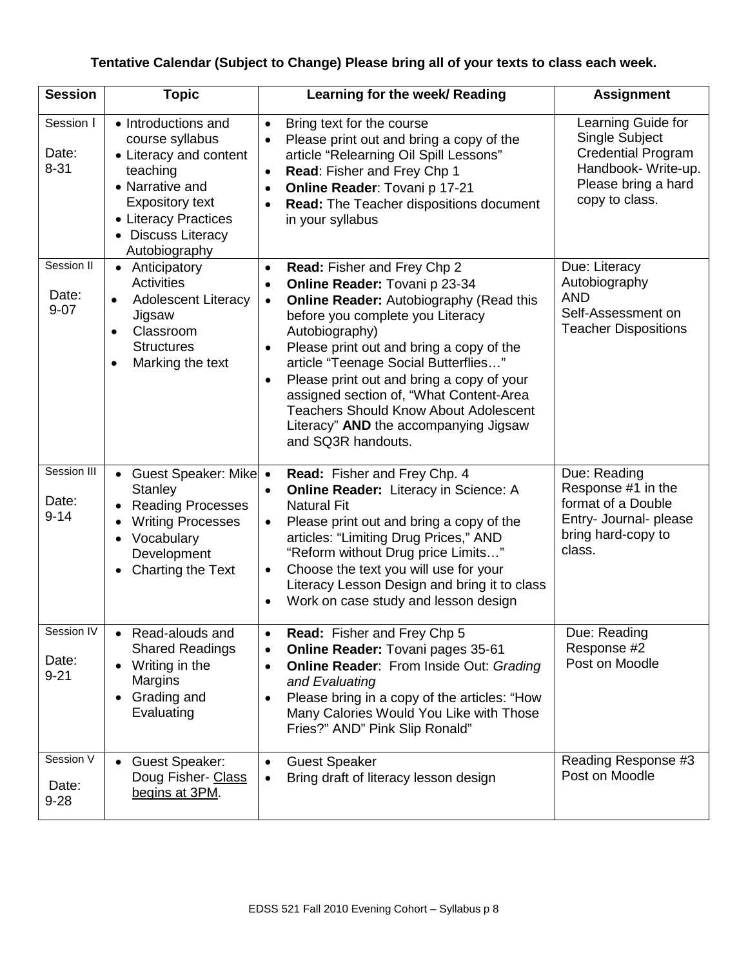# **Tentative Calendar (Subject to Change) Please bring all of your texts to class each week.**

| <b>Session</b>                             | <b>Topic</b>                                                                                                                                                                             | Learning for the week/ Reading                                                                                                                                                                                                                                                                                                                                                                                                                                                                                      | <b>Assignment</b>                                                                                                                |
|--------------------------------------------|------------------------------------------------------------------------------------------------------------------------------------------------------------------------------------------|---------------------------------------------------------------------------------------------------------------------------------------------------------------------------------------------------------------------------------------------------------------------------------------------------------------------------------------------------------------------------------------------------------------------------------------------------------------------------------------------------------------------|----------------------------------------------------------------------------------------------------------------------------------|
| Session I<br>Date:<br>$8 - 31$             | • Introductions and<br>course syllabus<br>• Literacy and content<br>teaching<br>• Narrative and<br><b>Expository text</b><br>• Literacy Practices<br>• Discuss Literacy<br>Autobiography | Bring text for the course<br>$\bullet$<br>Please print out and bring a copy of the<br>article "Relearning Oil Spill Lessons"<br>Read: Fisher and Frey Chp 1<br>Online Reader: Tovani p 17-21<br>$\bullet$<br>Read: The Teacher dispositions document<br>$\bullet$<br>in your syllabus                                                                                                                                                                                                                               | Learning Guide for<br>Single Subject<br><b>Credential Program</b><br>Handbook-Write-up.<br>Please bring a hard<br>copy to class. |
| Session II<br>Date:<br>$9 - 07$            | • Anticipatory<br><b>Activities</b><br><b>Adolescent Literacy</b><br>$\bullet$<br>Jigsaw<br>Classroom<br><b>Structures</b><br>Marking the text                                           | Read: Fisher and Frey Chp 2<br>$\bullet$<br>Online Reader: Tovani p 23-34<br>$\bullet$<br><b>Online Reader: Autobiography (Read this</b><br>$\bullet$<br>before you complete you Literacy<br>Autobiography)<br>Please print out and bring a copy of the<br>article "Teenage Social Butterflies"<br>Please print out and bring a copy of your<br>$\bullet$<br>assigned section of, "What Content-Area<br><b>Teachers Should Know About Adolescent</b><br>Literacy" AND the accompanying Jigsaw<br>and SQ3R handouts. | Due: Literacy<br>Autobiography<br><b>AND</b><br>Self-Assessment on<br><b>Teacher Dispositions</b>                                |
| Session III<br>Date:<br>$9 - 14$           | <b>Guest Speaker: Mike</b><br>$\bullet$<br><b>Stanley</b><br><b>Reading Processes</b><br><b>Writing Processes</b><br>Vocabulary<br>Development<br>Charting the Text                      | Read: Fisher and Frey Chp. 4<br>$\bullet$<br><b>Online Reader:</b> Literacy in Science: A<br><b>Natural Fit</b><br>Please print out and bring a copy of the<br>articles: "Limiting Drug Prices," AND<br>"Reform without Drug price Limits"<br>Choose the text you will use for your<br>$\bullet$<br>Literacy Lesson Design and bring it to class<br>Work on case study and lesson design                                                                                                                            | Due: Reading<br>Response #1 in the<br>format of a Double<br>Entry- Journal- please<br>bring hard-copy to<br>class.               |
| Session <sub>IV</sub><br>Date:<br>$9 - 21$ | • Read-alouds and<br><b>Shared Readings</b><br>Writing in the<br>Margins<br>Grading and<br>Evaluating                                                                                    | Read: Fisher and Frey Chp 5<br>$\bullet$<br><b>Online Reader: Tovani pages 35-61</b><br><b>Online Reader: From Inside Out: Grading</b><br>$\bullet$<br>and Evaluating<br>Please bring in a copy of the articles: "How<br>Many Calories Would You Like with Those<br>Fries?" AND" Pink Slip Ronald"                                                                                                                                                                                                                  | Due: Reading<br>Response #2<br>Post on Moodle                                                                                    |
| Session V<br>Date:<br>$9 - 28$             | • Guest Speaker:<br>Doug Fisher- Class<br>begins at 3PM.                                                                                                                                 | <b>Guest Speaker</b><br>$\bullet$<br>Bring draft of literacy lesson design<br>$\bullet$                                                                                                                                                                                                                                                                                                                                                                                                                             | Reading Response #3<br>Post on Moodle                                                                                            |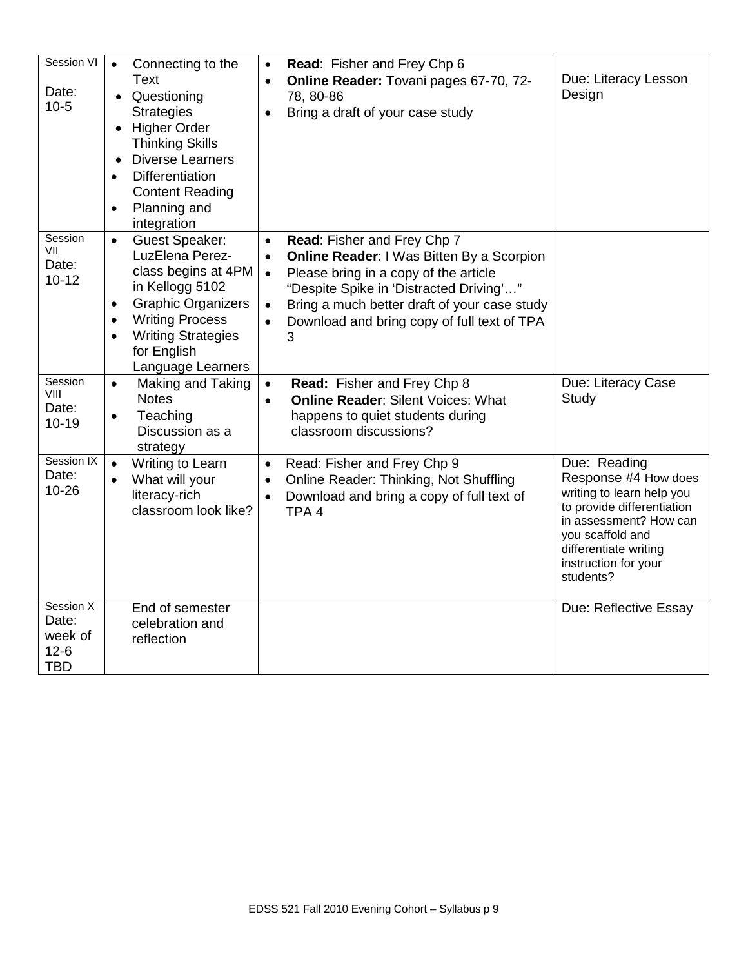| Session VI<br>Date:<br>$10-5$                         | Connecting to the<br>$\bullet$<br><b>Text</b><br>Questioning<br><b>Strategies</b><br>• Higher Order<br><b>Thinking Skills</b><br><b>Diverse Learners</b><br><b>Differentiation</b><br>$\bullet$<br><b>Content Reading</b><br>Planning and<br>$\bullet$<br>integration | Read: Fisher and Frey Chp 6<br>$\bullet$<br>Online Reader: Tovani pages 67-70, 72-<br>$\bullet$<br>78, 80-86<br>Bring a draft of your case study                                                                                                                                                               | Due: Literacy Lesson<br>Design                                                                                                                                                                              |
|-------------------------------------------------------|-----------------------------------------------------------------------------------------------------------------------------------------------------------------------------------------------------------------------------------------------------------------------|----------------------------------------------------------------------------------------------------------------------------------------------------------------------------------------------------------------------------------------------------------------------------------------------------------------|-------------------------------------------------------------------------------------------------------------------------------------------------------------------------------------------------------------|
| Session<br>VII<br>Date:<br>$10 - 12$                  | <b>Guest Speaker:</b><br>$\bullet$<br>LuzElena Perez-<br>class begins at 4PM<br>in Kellogg 5102<br><b>Graphic Organizers</b><br>$\bullet$<br><b>Writing Process</b><br>$\bullet$<br><b>Writing Strategies</b><br>$\bullet$<br>for English<br>Language Learners        | Read: Fisher and Frey Chp 7<br>$\bullet$<br><b>Online Reader: I Was Bitten By a Scorpion</b><br>$\bullet$<br>Please bring in a copy of the article<br>$\bullet$<br>"Despite Spike in 'Distracted Driving'"<br>Bring a much better draft of your case study<br>Download and bring copy of full text of TPA<br>3 |                                                                                                                                                                                                             |
| Session<br>VIII<br>Date:<br>$10 - 19$                 | Making and Taking<br>$\bullet$<br><b>Notes</b><br>Teaching<br>$\bullet$<br>Discussion as a<br>strategy                                                                                                                                                                | Read: Fisher and Frey Chp 8<br>$\bullet$<br><b>Online Reader: Silent Voices: What</b><br>$\bullet$<br>happens to quiet students during<br>classroom discussions?                                                                                                                                               | Due: Literacy Case<br>Study                                                                                                                                                                                 |
| Session IX<br>Date:<br>$10 - 26$                      | Writing to Learn<br>$\bullet$<br>What will your<br>$\bullet$<br>literacy-rich<br>classroom look like?                                                                                                                                                                 | Read: Fisher and Frey Chp 9<br>$\bullet$<br>Online Reader: Thinking, Not Shuffling<br>$\bullet$<br>Download and bring a copy of full text of<br>TPA <sub>4</sub>                                                                                                                                               | Due: Reading<br>Response #4 How does<br>writing to learn help you<br>to provide differentiation<br>in assessment? How can<br>you scaffold and<br>differentiate writing<br>instruction for your<br>students? |
| Session X<br>Date:<br>week of<br>$12-6$<br><b>TBD</b> | End of semester<br>celebration and<br>reflection                                                                                                                                                                                                                      |                                                                                                                                                                                                                                                                                                                | Due: Reflective Essay                                                                                                                                                                                       |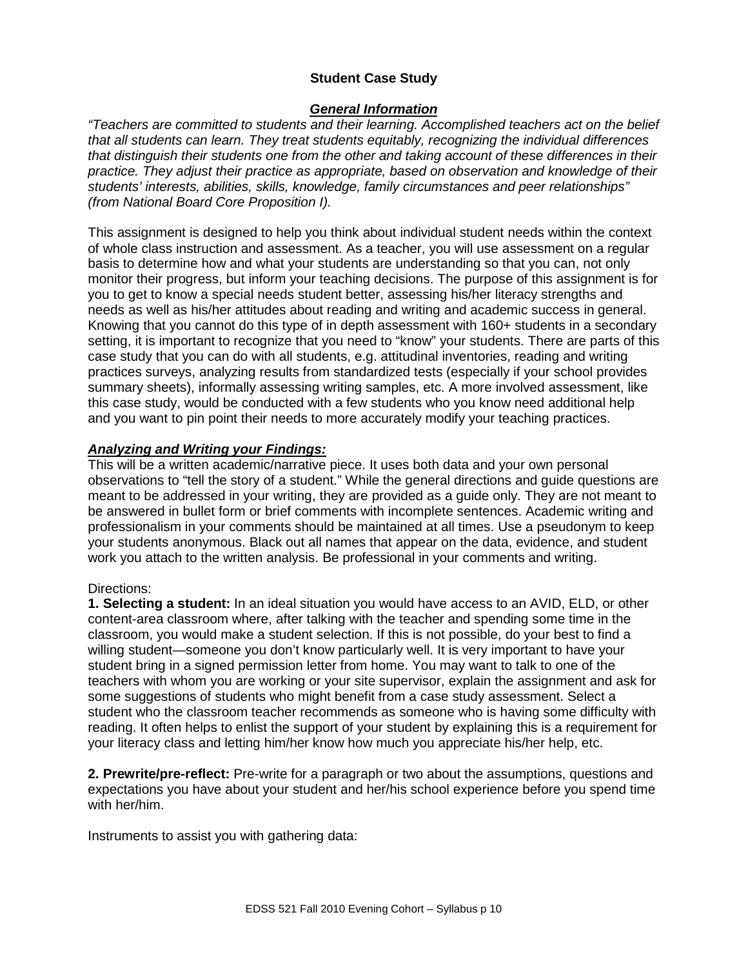# **Student Case Study**

### *General Information*

*"Teachers are committed to students and their learning. Accomplished teachers act on the belief that all students can learn. They treat students equitably, recognizing the individual differences that distinguish their students one from the other and taking account of these differences in their practice. They adjust their practice as appropriate, based on observation and knowledge of their students' interests, abilities, skills, knowledge, family circumstances and peer relationships" (from National Board Core Proposition I).* 

This assignment is designed to help you think about individual student needs within the context of whole class instruction and assessment. As a teacher, you will use assessment on a regular basis to determine how and what your students are understanding so that you can, not only monitor their progress, but inform your teaching decisions. The purpose of this assignment is for you to get to know a special needs student better, assessing his/her literacy strengths and needs as well as his/her attitudes about reading and writing and academic success in general. Knowing that you cannot do this type of in depth assessment with 160+ students in a secondary setting, it is important to recognize that you need to "know" your students. There are parts of this case study that you can do with all students, e.g. attitudinal inventories, reading and writing practices surveys, analyzing results from standardized tests (especially if your school provides summary sheets), informally assessing writing samples, etc. A more involved assessment, like this case study, would be conducted with a few students who you know need additional help and you want to pin point their needs to more accurately modify your teaching practices.

## *Analyzing and Writing your Findings:*

This will be a written academic/narrative piece. It uses both data and your own personal observations to "tell the story of a student." While the general directions and guide questions are meant to be addressed in your writing, they are provided as a guide only. They are not meant to be answered in bullet form or brief comments with incomplete sentences. Academic writing and professionalism in your comments should be maintained at all times. Use a pseudonym to keep your students anonymous. Black out all names that appear on the data, evidence, and student work you attach to the written analysis. Be professional in your comments and writing.

#### Directions:

**1. Selecting a student:** In an ideal situation you would have access to an AVID, ELD, or other content-area classroom where, after talking with the teacher and spending some time in the classroom, you would make a student selection. If this is not possible, do your best to find a willing student—someone you don't know particularly well. It is very important to have your student bring in a signed permission letter from home. You may want to talk to one of the teachers with whom you are working or your site supervisor, explain the assignment and ask for some suggestions of students who might benefit from a case study assessment. Select a student who the classroom teacher recommends as someone who is having some difficulty with reading. It often helps to enlist the support of your student by explaining this is a requirement for your literacy class and letting him/her know how much you appreciate his/her help, etc.

**2. Prewrite/pre-reflect:** Pre-write for a paragraph or two about the assumptions, questions and expectations you have about your student and her/his school experience before you spend time with her/him.

Instruments to assist you with gathering data: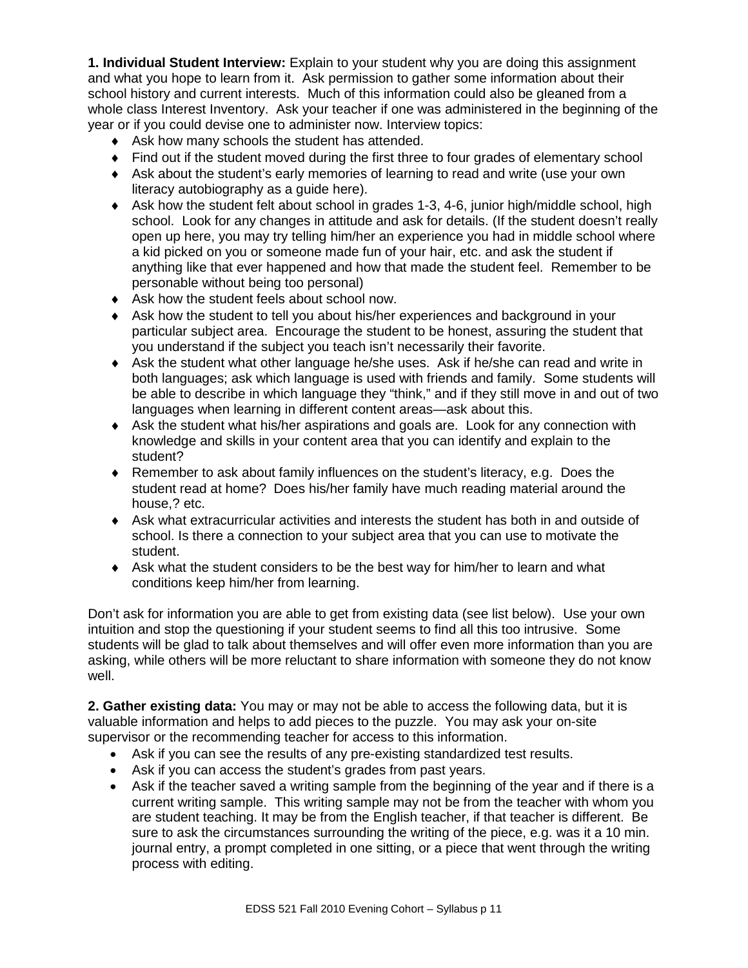**1. Individual Student Interview:** Explain to your student why you are doing this assignment and what you hope to learn from it. Ask permission to gather some information about their school history and current interests. Much of this information could also be gleaned from a whole class Interest Inventory. Ask your teacher if one was administered in the beginning of the year or if you could devise one to administer now. Interview topics:

- ♦ Ask how many schools the student has attended.
- ♦ Find out if the student moved during the first three to four grades of elementary school
- ♦ Ask about the student's early memories of learning to read and write (use your own literacy autobiography as a guide here).
- ♦ Ask how the student felt about school in grades 1-3, 4-6, junior high/middle school, high school. Look for any changes in attitude and ask for details. (If the student doesn't really open up here, you may try telling him/her an experience you had in middle school where a kid picked on you or someone made fun of your hair, etc. and ask the student if anything like that ever happened and how that made the student feel. Remember to be personable without being too personal)
- ♦ Ask how the student feels about school now.
- ♦ Ask how the student to tell you about his/her experiences and background in your particular subject area. Encourage the student to be honest, assuring the student that you understand if the subject you teach isn't necessarily their favorite.
- ♦ Ask the student what other language he/she uses. Ask if he/she can read and write in both languages; ask which language is used with friends and family. Some students will be able to describe in which language they "think," and if they still move in and out of two languages when learning in different content areas—ask about this.
- ♦ Ask the student what his/her aspirations and goals are. Look for any connection with knowledge and skills in your content area that you can identify and explain to the student?
- ♦ Remember to ask about family influences on the student's literacy, e.g. Does the student read at home? Does his/her family have much reading material around the house,? etc.
- ♦ Ask what extracurricular activities and interests the student has both in and outside of school. Is there a connection to your subject area that you can use to motivate the student.
- ♦ Ask what the student considers to be the best way for him/her to learn and what conditions keep him/her from learning.

Don't ask for information you are able to get from existing data (see list below). Use your own intuition and stop the questioning if your student seems to find all this too intrusive. Some students will be glad to talk about themselves and will offer even more information than you are asking, while others will be more reluctant to share information with someone they do not know well.

**2. Gather existing data:** You may or may not be able to access the following data, but it is valuable information and helps to add pieces to the puzzle. You may ask your on-site supervisor or the recommending teacher for access to this information.

- Ask if you can see the results of any pre-existing standardized test results.
- Ask if you can access the student's grades from past years.
- Ask if the teacher saved a writing sample from the beginning of the year and if there is a current writing sample. This writing sample may not be from the teacher with whom you are student teaching. It may be from the English teacher, if that teacher is different. Be sure to ask the circumstances surrounding the writing of the piece, e.g. was it a 10 min. journal entry, a prompt completed in one sitting, or a piece that went through the writing process with editing.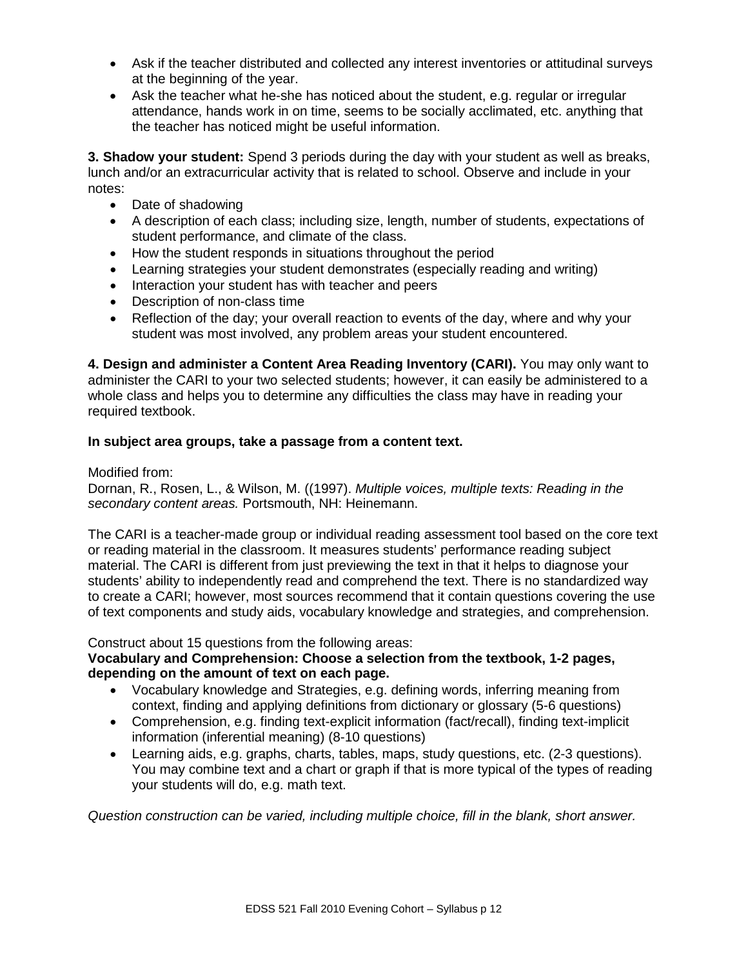- Ask if the teacher distributed and collected any interest inventories or attitudinal surveys at the beginning of the year.
- Ask the teacher what he-she has noticed about the student, e.g. regular or irregular attendance, hands work in on time, seems to be socially acclimated, etc. anything that the teacher has noticed might be useful information.

**3. Shadow your student:** Spend 3 periods during the day with your student as well as breaks, lunch and/or an extracurricular activity that is related to school. Observe and include in your notes:

- Date of shadowing
- A description of each class; including size, length, number of students, expectations of student performance, and climate of the class.
- How the student responds in situations throughout the period
- Learning strategies your student demonstrates (especially reading and writing)
- Interaction your student has with teacher and peers
- Description of non-class time
- Reflection of the day; your overall reaction to events of the day, where and why your student was most involved, any problem areas your student encountered.

**4. Design and administer a Content Area Reading Inventory (CARI).** You may only want to administer the CARI to your two selected students; however, it can easily be administered to a whole class and helps you to determine any difficulties the class may have in reading your required textbook.

# **In subject area groups, take a passage from a content text.**

## Modified from:

Dornan, R., Rosen, L., & Wilson, M. ((1997). *Multiple voices, multiple texts: Reading in the secondary content areas.* Portsmouth, NH: Heinemann.

The CARI is a teacher-made group or individual reading assessment tool based on the core text or reading material in the classroom. It measures students' performance reading subject material. The CARI is different from just previewing the text in that it helps to diagnose your students' ability to independently read and comprehend the text. There is no standardized way to create a CARI; however, most sources recommend that it contain questions covering the use of text components and study aids, vocabulary knowledge and strategies, and comprehension.

Construct about 15 questions from the following areas:

# **Vocabulary and Comprehension: Choose a selection from the textbook, 1-2 pages, depending on the amount of text on each page.**

- Vocabulary knowledge and Strategies, e.g. defining words, inferring meaning from context, finding and applying definitions from dictionary or glossary (5-6 questions)
- Comprehension, e.g. finding text-explicit information (fact/recall), finding text-implicit information (inferential meaning) (8-10 questions)
- Learning aids, e.g. graphs, charts, tables, maps, study questions, etc. (2-3 questions). You may combine text and a chart or graph if that is more typical of the types of reading your students will do, e.g. math text.

*Question construction can be varied, including multiple choice, fill in the blank, short answer.*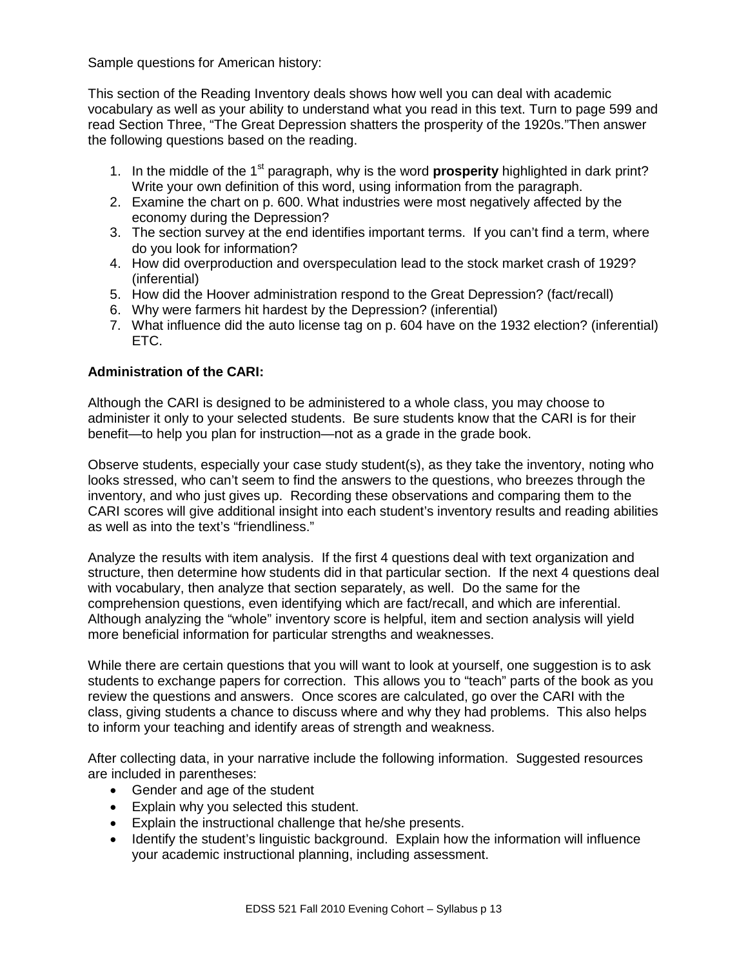Sample questions for American history:

This section of the Reading Inventory deals shows how well you can deal with academic vocabulary as well as your ability to understand what you read in this text. Turn to page 599 and read Section Three, "The Great Depression shatters the prosperity of the 1920s."Then answer the following questions based on the reading.

- 1. In the middle of the 1<sup>st</sup> paragraph, why is the word **prosperity** highlighted in dark print? Write your own definition of this word, using information from the paragraph.
- 2. Examine the chart on p. 600. What industries were most negatively affected by the economy during the Depression?
- 3. The section survey at the end identifies important terms. If you can't find a term, where do you look for information?
- 4. How did overproduction and overspeculation lead to the stock market crash of 1929? (inferential)
- 5. How did the Hoover administration respond to the Great Depression? (fact/recall)
- 6. Why were farmers hit hardest by the Depression? (inferential)
- 7. What influence did the auto license tag on p. 604 have on the 1932 election? (inferential) ETC.

# **Administration of the CARI:**

Although the CARI is designed to be administered to a whole class, you may choose to administer it only to your selected students. Be sure students know that the CARI is for their benefit—to help you plan for instruction—not as a grade in the grade book.

Observe students, especially your case study student(s), as they take the inventory, noting who looks stressed, who can't seem to find the answers to the questions, who breezes through the inventory, and who just gives up. Recording these observations and comparing them to the CARI scores will give additional insight into each student's inventory results and reading abilities as well as into the text's "friendliness."

Analyze the results with item analysis. If the first 4 questions deal with text organization and structure, then determine how students did in that particular section. If the next 4 questions deal with vocabulary, then analyze that section separately, as well. Do the same for the comprehension questions, even identifying which are fact/recall, and which are inferential. Although analyzing the "whole" inventory score is helpful, item and section analysis will yield more beneficial information for particular strengths and weaknesses.

While there are certain questions that you will want to look at yourself, one suggestion is to ask students to exchange papers for correction. This allows you to "teach" parts of the book as you review the questions and answers. Once scores are calculated, go over the CARI with the class, giving students a chance to discuss where and why they had problems. This also helps to inform your teaching and identify areas of strength and weakness.

After collecting data, in your narrative include the following information. Suggested resources are included in parentheses:

- Gender and age of the student
- Explain why you selected this student.
- Explain the instructional challenge that he/she presents.
- Identify the student's linguistic background. Explain how the information will influence your academic instructional planning, including assessment.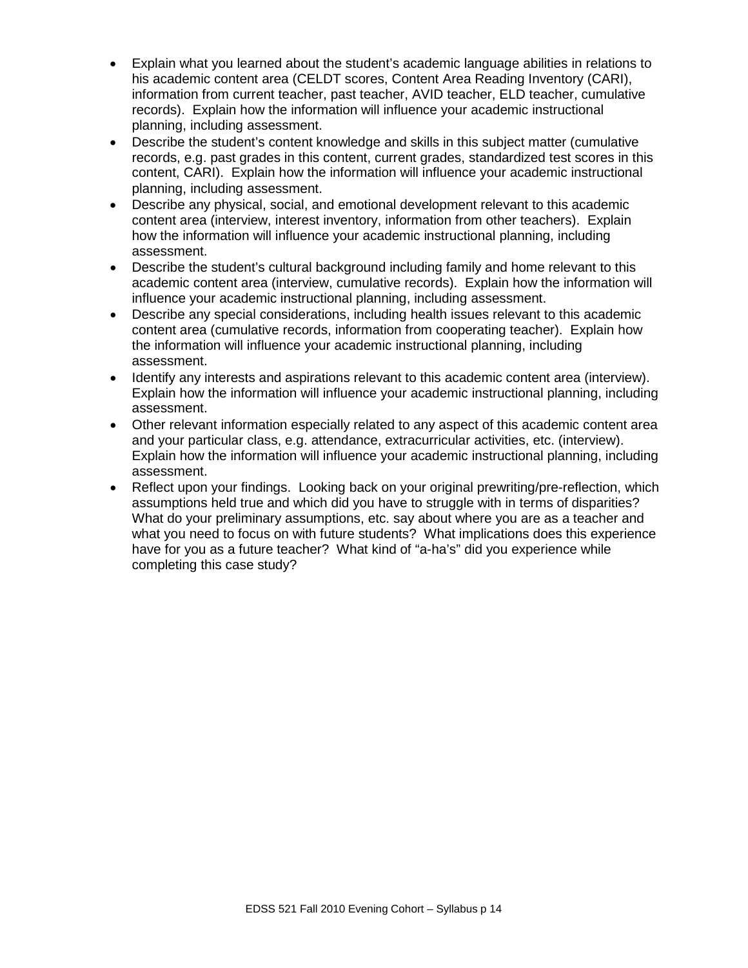- Explain what you learned about the student's academic language abilities in relations to his academic content area (CELDT scores, Content Area Reading Inventory (CARI), information from current teacher, past teacher, AVID teacher, ELD teacher, cumulative records). Explain how the information will influence your academic instructional planning, including assessment.
- Describe the student's content knowledge and skills in this subject matter (cumulative records, e.g. past grades in this content, current grades, standardized test scores in this content, CARI). Explain how the information will influence your academic instructional planning, including assessment.
- Describe any physical, social, and emotional development relevant to this academic content area (interview, interest inventory, information from other teachers). Explain how the information will influence your academic instructional planning, including assessment.
- Describe the student's cultural background including family and home relevant to this academic content area (interview, cumulative records). Explain how the information will influence your academic instructional planning, including assessment.
- Describe any special considerations, including health issues relevant to this academic content area (cumulative records, information from cooperating teacher). Explain how the information will influence your academic instructional planning, including assessment.
- Identify any interests and aspirations relevant to this academic content area (interview). Explain how the information will influence your academic instructional planning, including assessment.
- Other relevant information especially related to any aspect of this academic content area and your particular class, e.g. attendance, extracurricular activities, etc. (interview). Explain how the information will influence your academic instructional planning, including assessment.
- Reflect upon your findings. Looking back on your original prewriting/pre-reflection, which assumptions held true and which did you have to struggle with in terms of disparities? What do your preliminary assumptions, etc. say about where you are as a teacher and what you need to focus on with future students? What implications does this experience have for you as a future teacher? What kind of "a-ha's" did you experience while completing this case study?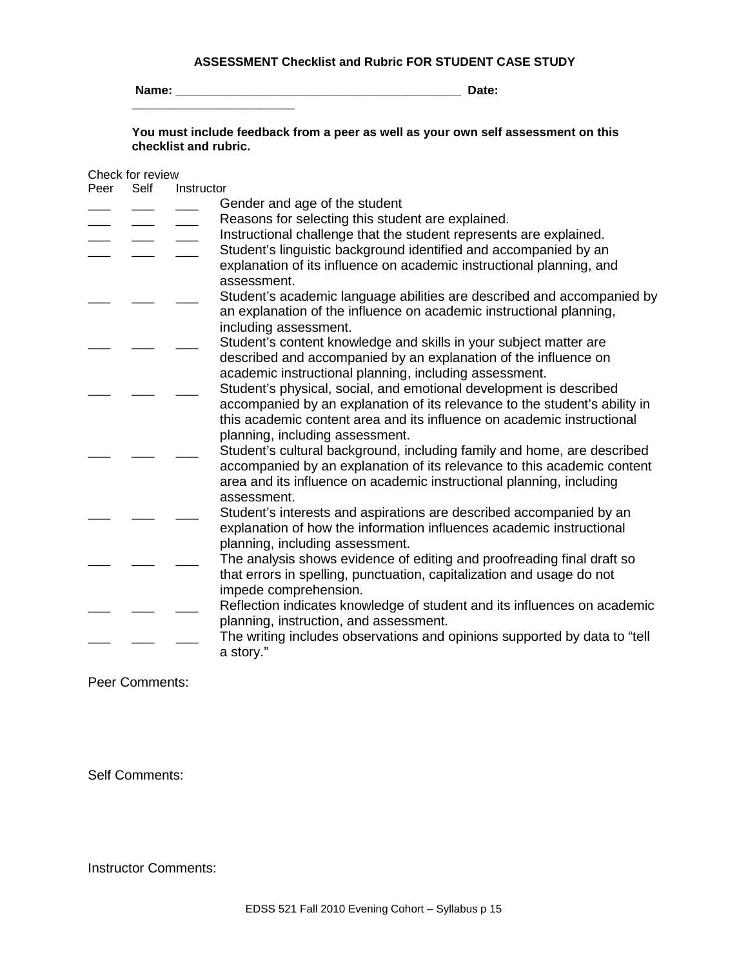#### **ASSESSMENT Checklist and Rubric FOR STUDENT CASE STUDY**

**Name: \_\_\_\_\_\_\_\_\_\_\_\_\_\_\_\_\_\_\_\_\_\_\_\_\_\_\_\_\_\_\_\_\_\_\_\_\_\_\_\_\_\_ Date: \_\_\_\_\_\_\_\_\_\_\_\_\_\_\_\_\_\_\_\_\_\_\_\_**

**You must include feedback from a peer as well as your own self assessment on this checklist and rubric.** 

#### Check for review

| Peer | Self | Instructor                                                                 |
|------|------|----------------------------------------------------------------------------|
|      |      | Gender and age of the student                                              |
|      |      | Reasons for selecting this student are explained.                          |
|      |      | Instructional challenge that the student represents are explained.         |
|      |      | Student's linguistic background identified and accompanied by an           |
|      |      | explanation of its influence on academic instructional planning, and       |
|      |      | assessment.                                                                |
|      |      | Student's academic language abilities are described and accompanied by     |
|      |      | an explanation of the influence on academic instructional planning,        |
|      |      | including assessment.                                                      |
|      |      | Student's content knowledge and skills in your subject matter are          |
|      |      | described and accompanied by an explanation of the influence on            |
|      |      | academic instructional planning, including assessment.                     |
|      |      | Student's physical, social, and emotional development is described         |
|      |      | accompanied by an explanation of its relevance to the student's ability in |
|      |      | this academic content area and its influence on academic instructional     |
|      |      | planning, including assessment.                                            |
|      |      | Student's cultural background, including family and home, are described    |
|      |      | accompanied by an explanation of its relevance to this academic content    |
|      |      | area and its influence on academic instructional planning, including       |
|      |      | assessment.                                                                |
|      |      | Student's interests and aspirations are described accompanied by an        |
|      |      | explanation of how the information influences academic instructional       |
|      |      | planning, including assessment.                                            |
|      |      | The analysis shows evidence of editing and proofreading final draft so     |
|      |      | that errors in spelling, punctuation, capitalization and usage do not      |
|      |      | impede comprehension.                                                      |
|      |      | Reflection indicates knowledge of student and its influences on academic   |
|      |      | planning, instruction, and assessment.                                     |
|      |      | The writing includes observations and opinions supported by data to "tell  |
|      |      | a story."                                                                  |
|      |      |                                                                            |

Peer Comments:

Self Comments:

Instructor Comments: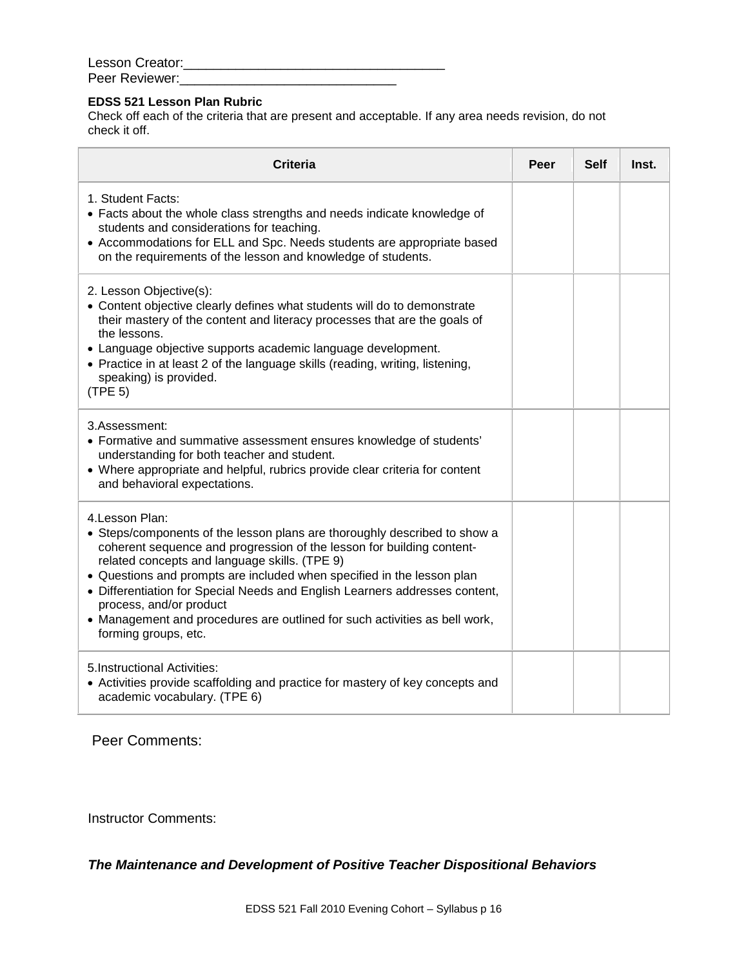| Lesson Creator: |  |
|-----------------|--|
| Peer Reviewer:  |  |

# **EDSS 521 Lesson Plan Rubric**

Check off each of the criteria that are present and acceptable. If any area needs revision, do not check it off.

| <b>Criteria</b>                                                                                                                                                                                                                                                                                                                                                                                                                                                                                                  | Peer | <b>Self</b> | Inst. |
|------------------------------------------------------------------------------------------------------------------------------------------------------------------------------------------------------------------------------------------------------------------------------------------------------------------------------------------------------------------------------------------------------------------------------------------------------------------------------------------------------------------|------|-------------|-------|
| 1. Student Facts:<br>• Facts about the whole class strengths and needs indicate knowledge of<br>students and considerations for teaching.<br>• Accommodations for ELL and Spc. Needs students are appropriate based<br>on the requirements of the lesson and knowledge of students.                                                                                                                                                                                                                              |      |             |       |
| 2. Lesson Objective(s):<br>• Content objective clearly defines what students will do to demonstrate<br>their mastery of the content and literacy processes that are the goals of<br>the lessons.<br>• Language objective supports academic language development.<br>• Practice in at least 2 of the language skills (reading, writing, listening,<br>speaking) is provided.<br>(TPE 5)                                                                                                                           |      |             |       |
| 3.Assessment:<br>• Formative and summative assessment ensures knowledge of students'<br>understanding for both teacher and student.<br>• Where appropriate and helpful, rubrics provide clear criteria for content<br>and behavioral expectations.                                                                                                                                                                                                                                                               |      |             |       |
| 4. Lesson Plan:<br>• Steps/components of the lesson plans are thoroughly described to show a<br>coherent sequence and progression of the lesson for building content-<br>related concepts and language skills. (TPE 9)<br>• Questions and prompts are included when specified in the lesson plan<br>• Differentiation for Special Needs and English Learners addresses content,<br>process, and/or product<br>• Management and procedures are outlined for such activities as bell work,<br>forming groups, etc. |      |             |       |
| 5. Instructional Activities:<br>• Activities provide scaffolding and practice for mastery of key concepts and<br>academic vocabulary. (TPE 6)                                                                                                                                                                                                                                                                                                                                                                    |      |             |       |

Peer Comments:

Instructor Comments:

*The Maintenance and Development of Positive Teacher Dispositional Behaviors*